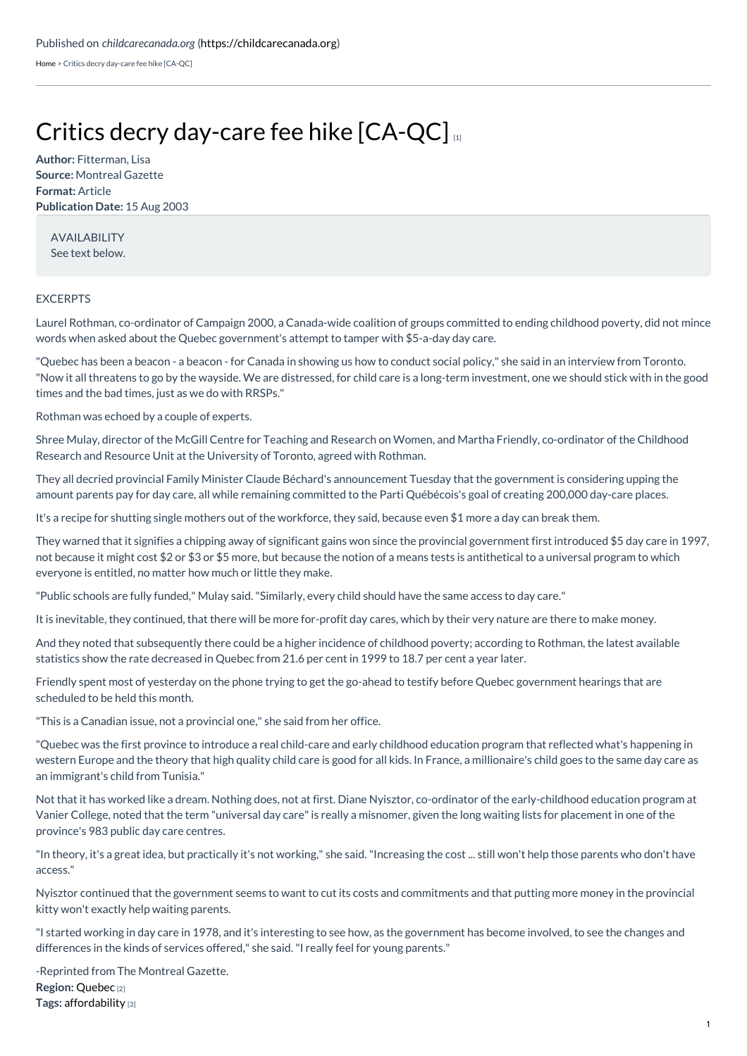[Home](https://childcarecanada.org/) > Critics decry day-care fee hike [CA-QC]

## Critics decry [day-care](https://childcarecanada.org/documents/child-care-news/03/08/critics-decry-day-care-fee-hike-ca-qc) fee hike [CA-QC]

**Author:** Fitterman, Lisa **Source:** Montreal Gazette **Format:** Article **Publication Date:** 15 Aug 2003

AVAILABILITY See text below.

## EXCERPTS

Laurel Rothman, co-ordinator of Campaign 2000, a Canada-wide coalition of groups committed to ending childhood poverty, did not mince words when asked about the Quebec government's attempt to tamper with \$5-a-day day care.

"Quebec has been a beacon - a beacon - for Canada in showing us how to conduct social policy," she said in an interview from Toronto. "Now it all threatens to go by the wayside. We are distressed, for child care is a long-term investment, one we should stick with in the good times and the bad times, just as we do with RRSPs."

Rothman was echoed by a couple of experts.

Shree Mulay, director of the McGill Centre for Teaching and Research on Women, and Martha Friendly, co-ordinator of the Childhood Research and Resource Unit at the University of Toronto, agreed with Rothman.

They all decried provincial Family Minister Claude Béchard's announcement Tuesday that the government is considering upping the amount parents pay for day care, all while remaining committed to the Parti Québécois's goal of creating 200,000 day-care places.

It's a recipe for shutting single mothers out of the workforce, they said, because even \$1 more a day can break them.

They warned that it signifies a chipping away of significant gains won since the provincial government first introduced \$5 day care in 1997, not because it might cost \$2 or \$3 or \$5 more, but because the notion of a means tests is antithetical to a universal program to which everyone is entitled, no matter how much or little they make.

"Public schools are fully funded," Mulay said."Similarly, every child should have the same access to day care."

It is inevitable, they continued, that there will be more for-profit day cares, which by their very nature are there to make money.

And they noted that subsequently there could be a higher incidence of childhood poverty; according to Rothman, the latest available statistics show the rate decreased in Quebec from 21.6 per cent in 1999 to 18.7 per cent a year later.

Friendly spent most of yesterday on the phone trying to get the go-ahead to testify before Quebec government hearings that are scheduled to be held this month.

"This is a Canadian issue, not a provincial one," she said from her office.

"Quebec was the first province to introduce a real child-care and early childhood education program that reflected what's happening in western Europe and the theory that high quality child care is good for all kids. In France, a millionaire's child goes to the same day care as an immigrant's child from Tunisia."

Not that it has worked like a dream. Nothing does, not at first. Diane Nyisztor, co-ordinator of the early-childhood education program at Vanier College, noted that the term "universal day care"is really a misnomer, given the long waiting lists for placement in one of the province's 983 public day care centres.

"In theory, it's a great idea, but practically it's not working," she said."Increasing the cost ... still won't help those parents who don't have access."

Nyisztor continued that the government seems to want to cut its costs and commitments and that putting more money in the provincial kitty won't exactly help waiting parents.

"I started working in day care in 1978, and it's interesting to see how, as the government has become involved, to see the changes and differences in the kinds of services offered," she said."I really feel for young parents."

**Region:** [Quebec](https://childcarecanada.org/taxonomy/term/7855) [2] **Tags:** [affordability](https://childcarecanada.org/category/tags/affordability) [3] -Reprinted from The Montreal Gazette.